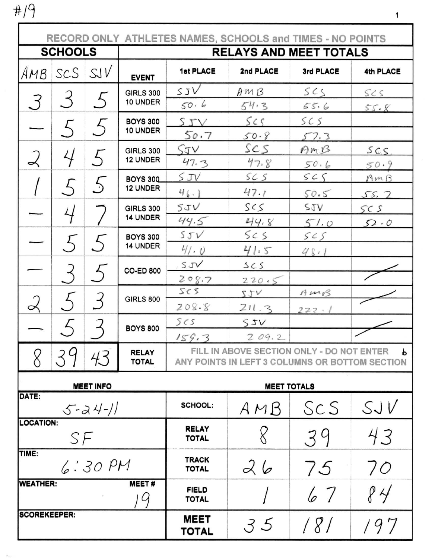$# / 9$ 

| RECORD ONLY ATHLETES NAMES, SCHOOLS and TIMES - NO POINTS |                             |         |                              |                                                                                                           |                       |                        |             |  |  |
|-----------------------------------------------------------|-----------------------------|---------|------------------------------|-----------------------------------------------------------------------------------------------------------|-----------------------|------------------------|-------------|--|--|
|                                                           | <b>SCHOOLS</b>              |         |                              | <b>RELAYS AND MEET TOTALS</b>                                                                             |                       |                        |             |  |  |
| AMB                                                       | scs                         | SUV     | <b>EVENT</b>                 | <b>1st PLACE</b>                                                                                          | 2nd PLACE             | 3rd PLACE              | 4th PLACE   |  |  |
| З                                                         | 3                           | 5       | <b>GIRLS 300</b><br>10 UNDER | STV<br>50.6                                                                                               | AMB<br>54.3           | SCS<br>556             | SCS<br>55.8 |  |  |
|                                                           | $\zeta$                     | $\zeta$ | <b>BOYS 300</b><br>10 UNDER  | SIV                                                                                                       | SCS                   | SCS                    |             |  |  |
|                                                           | 4                           | $\zeta$ | <b>GIRLS 300</b><br>12 UNDER | 50.7<br>SJV                                                                                               | 50.8<br>SCS           | 57.3<br>AMB            | SCS         |  |  |
|                                                           | $\zeta$                     | 5       | <b>BOYS 300</b><br>12 UNDER  | 47.3<br>SJV                                                                                               | 47.8<br>SCS           | 50.6<br>SCS            | 50.9<br>AMB |  |  |
|                                                           | 4                           |         | <b>GIRLS 300</b><br>14 UNDER | 46.1<br>5JV                                                                                               | 47.1<br>SCS           | 50.5<br>SIN            | 55.7<br>SCS |  |  |
|                                                           | $\mathcal{L}_{\mathcal{L}}$ |         | <b>BOYS 300</b><br>14 UNDER  | 44.5<br>5JV                                                                                               | 44.8<br>5< s          | 51.0<br>5 <sub>5</sub> | 52.0        |  |  |
|                                                           |                             |         | <b>CO-ED 800</b>             | 41.0<br>$S$ J $V$                                                                                         | 41.5<br>SCS           | 48.1                   |             |  |  |
| $\overline{\mathcal{L}}$                                  |                             | 3       | <b>GIRLS 800</b>             | 208.7<br>sc s<br>208.8                                                                                    | 220.5<br>5JV<br>211.3 | AMS                    |             |  |  |
|                                                           |                             |         | <b>BOYS 800</b>              | 5cs                                                                                                       | 55V<br>209.2          | 222.1                  |             |  |  |
|                                                           | 39                          | 43      | <b>RELAY</b><br><b>TOTAL</b> | 159.3<br>FILL IN ABOVE SECTION ONLY - DO NOT ENTER<br>Ь<br>ANY POINTS IN LEFT 3 COLUMNS OR BOTTOM SECTION |                       |                        |             |  |  |
| <b>MEET INFO</b>                                          |                             |         |                              | <b>MEET TOTALS</b>                                                                                        |                       |                        |             |  |  |
| DATE:<br>$5 - 24 - 11$                                    |                             |         |                              | <b>SCHOOL:</b>                                                                                            | AMB                   | ScS                    | SJV         |  |  |
| <b>LOCATION:</b><br>SF                                    |                             |         |                              | <b>RELAY</b><br><b>TOTAL</b>                                                                              |                       | 39                     | 43          |  |  |
| TIME:<br>6:30PM                                           |                             |         |                              | <b>TRACK</b><br><b>TOTAL</b>                                                                              | 26                    | 75                     | 70          |  |  |
| <b>WEATHER:</b><br><b>MEET#</b><br>$\mathcal{G}$          |                             |         |                              | <b>FIELD</b><br><b>TOTAL</b>                                                                              |                       | 67                     | 84          |  |  |
| <b>SCOREKEEPER:</b>                                       |                             |         |                              | <b>MEET</b><br>TOTAL                                                                                      | 35                    | / 8/                   | 197         |  |  |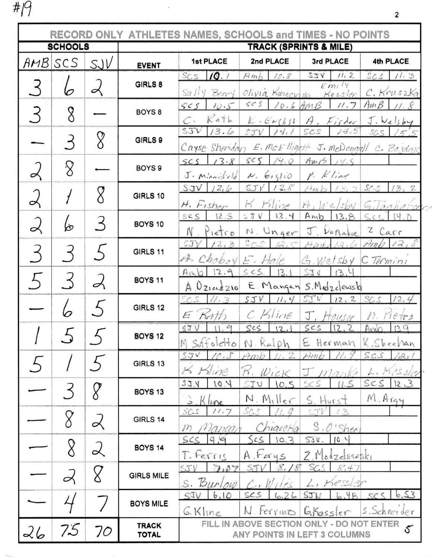# $\beta$ 

г

1

|                |    |                          | RECORD ONLY ATHLETES NAMES, SCHOOLS and TIMES - NO POINTS |                                          |                                                |                                                                    |                                            |  |
|----------------|----|--------------------------|-----------------------------------------------------------|------------------------------------------|------------------------------------------------|--------------------------------------------------------------------|--------------------------------------------|--|
| <b>SCHOOLS</b> |    |                          | <b>TRACK (SPRINTS &amp; MILE)</b>                         |                                          |                                                |                                                                    |                                            |  |
| $AMB$ $SCS$    |    | SJV                      | <b>EVENT</b>                                              | 1st PLACE                                | 2nd PLACE                                      | 3rd PLACE                                                          | 4th PLACE                                  |  |
|                |    | ⊿                        | GIRLS 8                                                   | 10.1<br>SCS<br>$Sa$ // $y$<br>Berry      | Amb<br>10.8                                    | yzz<br>11, 2<br>Emi'<br>Olivia Kinecinski Kessler                  | SCS<br>11.3<br>C. Kruszka                  |  |
|                | 8  |                          | BOYS <sub>8</sub>                                         | SCS<br>10.5<br>Rath<br>$\mathbb{C}\cdot$ | 5 <sup>5</sup><br>$k \cdot \epsilon_{\ell,ss}$ | $10.6$ AMB<br>11.7<br>A, Fisher                                    | AmB<br>11.8<br>J.Walsby                    |  |
|                | 3  | 8                        | GIRLS 9                                                   | STV<br>13.6                              | STV<br>14.1                                    | 14.5<br>SCS<br>Cayse Sheridan E. McEllight J. mcDougall C. Bojdalk | SCS<br>15.5                                |  |
|                | 8  |                          | BOYS <sub>9</sub>                                         | 13.8<br>SCS<br>$J$ . Ministeld           | 14.0<br>s< s<br>$N.$ Giglio                    | AmB<br>14.8<br>$P.$ Kline                                          |                                            |  |
|                |    | 8                        | GIRLS 10                                                  | 12.6<br>STV<br>H. Fisher                 | $STV$ 12.8<br>H<br>$H$ line                    | 13, 2<br>Amb<br>$H_\mu W e/s'$                                     | 57.5<br>13, 2<br>Gilagliata                |  |
| $\propto$      | ŀб | 3                        | BOYS 10                                                   | 12.5<br>SCS<br>Pietro<br>N               | 13.4<br>53V<br>N. Unger                        | Amb<br>13.8<br>J. Donafue                                          | 14.0<br>c<br>Z Carr                        |  |
|                |    |                          | GIRLS 11                                                  | 5J<br>12,3<br>A. Choboy                  | $s_{CS}$<br>12.5<br>$E.$ Hale                  | HmL<br>$1 - 31$<br>G. Welsby C Termini                             | $Amb$ 12, 8                                |  |
|                |    |                          | <b>BOYS 11</b>                                            | 12.9<br>Amb<br>$A \nvert 0$ ziarezio     | SCS.<br>13.1                                   | 13.4<br>550<br>E. Mangan S. Medzelewski                            |                                            |  |
|                |    | $\overline{\mathcal{L}}$ | GIRLS 12                                                  | 11.3<br>SC S<br>Kath<br>E                | SJV<br>11, 4<br>C Kline                        | SJW<br>12, 2<br>J.<br>Houser                                       | SCS<br>12.4<br>n.<br>$1e$ trs              |  |
|                |    |                          | <b>BOYS 12</b>                                            | STV<br>11,9<br>M. Suffolctto             | scs<br>12.1<br>N. Ralph                        | 12.2<br>scs                                                        | 139<br>And<br>E. Herman K. Sheehan         |  |
|                |    |                          | <b>GIRLS 13</b>                                           | 10.8<br>STV<br>K Kline                   | 11.2<br>Am<br>$W_1cK$                          | Am                                                                 | SCS<br>$\mathcal{Z}_1$<br>Kessler<br>kui s |  |
|                |    |                          | <b>BOYS 13</b>                                            | 10.4<br>227<br>$K$ line<br>. ف           | 10.5<br>STU<br>$N.$ $M.$ $Ver$                 | (1.5<br>SCS<br>S. Hurst                                            | ses<br>12.3<br>M. Argy                     |  |
|                |    | $\prec$                  | GIRLS 14                                                  | SCS<br>11.7<br>nanga<br>m                | SCS<br>Chiarcha                                | ST<br>$\sqrt{2}$<br>S. O'Shen                                      |                                            |  |
|                | 8  | $\overline{\mathcal{L}}$ | <b>BOYS 14</b>                                            | SCS<br>9.9<br>T. Ferris                  | Scs<br>10.3<br>A. Forys                        | 5JV.<br>10.4<br>7 Modzelesuski                                     |                                            |  |
|                |    |                          | <b>GIRLS MILE</b>                                         | 7.07<br>ST1<br>S. Burlow                 | 8.18<br>ST                                     | SCS<br>8,4<br>L, Kessler                                           |                                            |  |
|                |    |                          | <b>BOYS MILE</b>                                          | 6.10<br>SJV<br>$G.$ Kline                | SCS<br>6.26<br>terrino                         | STI<br>48<br>Gressler                                              | 6,53<br>232<br>s. Schneider                |  |
| 26             | 75 | 70                       | <b>TRACK</b><br><b>TOTAL</b>                              |                                          | <b>FILL IN ABOVE SECTION</b>                   | <b>ONLY - DO NOT ENTER</b><br>ANY POINTS IN LEFT 3 COLUMNS         |                                            |  |